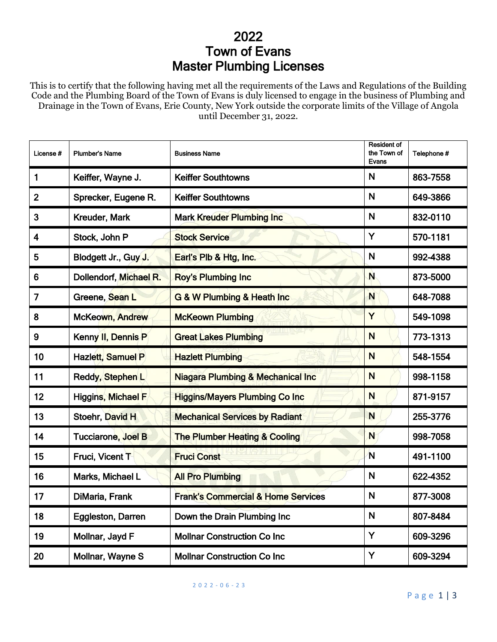## 2022 Town of Evans Master Plumbing Licenses

This is to certify that the following having met all the requirements of the Laws and Regulations of the Building Code and the Plumbing Board of the Town of Evans is duly licensed to engage in the business of Plumbing and Drainage in the Town of Evans, Erie County, New York outside the corporate limits of the Village of Angola until December 31, 2022.

| License#       | <b>Plumber's Name</b>     | <b>Business Name</b>                          | <b>Resident of</b><br>the Town of<br><b>Evans</b> | Telephone # |
|----------------|---------------------------|-----------------------------------------------|---------------------------------------------------|-------------|
| $\mathbf{1}$   | Keiffer, Wayne J.         | <b>Keiffer Southtowns</b>                     | $\mathbf N$                                       | 863-7558    |
| $\overline{2}$ | Sprecker, Eugene R.       | <b>Keiffer Southtowns</b>                     | N                                                 | 649-3866    |
| 3              | Kreuder, Mark             | <b>Mark Kreuder Plumbing Inc</b>              | N                                                 | 832-0110    |
| 4              | Stock, John P             | <b>Stock Service</b>                          | Y                                                 | 570-1181    |
| 5              | Blodgett Jr., Guy J.      | Earl's Plb & Htg, Inc.                        | N                                                 | 992-4388    |
| 6              | Dollendorf, Michael R.    | <b>Roy's Plumbing Inc.</b>                    | N                                                 | 873-5000    |
| $\overline{7}$ | Greene, Sean L            | G & W Plumbing & Heath Inc                    | N                                                 | 648-7088    |
| 8              | <b>McKeown, Andrew</b>    | <b>McKeown Plumbing</b>                       | Y                                                 | 549-1098    |
| 9              | Kenny II, Dennis P        | <b>Great Lakes Plumbing</b>                   | N                                                 | 773-1313    |
| 10             | <b>Hazlett, Samuel P</b>  | <b>Hazlett Plumbing</b>                       | N                                                 | 548-1554    |
| 11             | Reddy, Stephen L          | <b>Niagara Plumbing &amp; Mechanical Inc.</b> | N                                                 | 998-1158    |
| 12             | <b>Higgins, Michael F</b> | <b>Higgins/Mayers Plumbing Co Inc</b>         | N                                                 | 871-9157    |
| 13             | Stoehr, David H           | <b>Mechanical Services by Radiant</b>         | N                                                 | 255-3776    |
| 14             | Tucciarone, Joel B        | <b>The Plumber Heating &amp; Cooling</b>      | $\overline{\mathsf{N}}$                           | 998-7058    |
| 15             | Fruci, Vicent T           | <b>Fruci Const</b>                            | N                                                 | 491-1100    |
| 16             | Marks, Michael L          | <b>All Pro Plumbing</b>                       | N                                                 | 622-4352    |
| 17             | DiMaria, Frank            | <b>Frank's Commercial &amp; Home Services</b> | N                                                 | 877-3008    |
| 18             | Eggleston, Darren         | Down the Drain Plumbing Inc                   | N                                                 | 807-8484    |
| 19             | Mollnar, Jayd F           | <b>Mollnar Construction Co Inc</b>            | Y                                                 | 609-3296    |
| 20             | Mollnar, Wayne S          | <b>Mollnar Construction Co Inc.</b>           | Y                                                 | 609-3294    |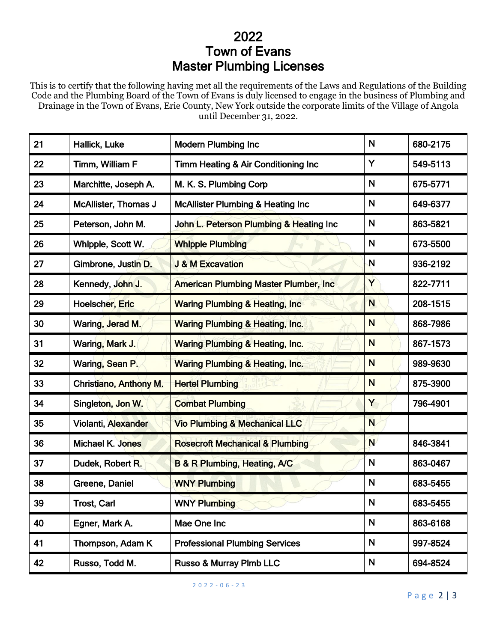## 2022 Town of Evans Master Plumbing Licenses

This is to certify that the following having met all the requirements of the Laws and Regulations of the Building Code and the Plumbing Board of the Town of Evans is duly licensed to engage in the business of Plumbing and Drainage in the Town of Evans, Erie County, New York outside the corporate limits of the Village of Angola until December 31, 2022.

| 21 | Hallick, Luke                 | <b>Modern Plumbing Inc</b>                    | N            | 680-2175 |
|----|-------------------------------|-----------------------------------------------|--------------|----------|
| 22 | Timm, William F               | Timm Heating & Air Conditioning Inc           | Y            | 549-5113 |
| 23 | Marchitte, Joseph A.          | M. K. S. Plumbing Corp                        | N            | 675-5771 |
| 24 | <b>McAllister, Thomas J</b>   | <b>McAllister Plumbing &amp; Heating Inc</b>  | N            | 649-6377 |
| 25 | Peterson, John M.             | John L. Peterson Plumbing & Heating Inc       | N            | 863-5821 |
| 26 | Whipple, Scott W.             | <b>Whipple Plumbing</b>                       | N            | 673-5500 |
| 27 | Gimbrone, Justin D.           | <b>J &amp; M Excavation</b>                   | $\mathsf{N}$ | 936-2192 |
| 28 | Kennedy, John J.              | <b>American Plumbing Master Plumber, Inc.</b> | Y            | 822-7711 |
| 29 | <b>Hoelscher, Eric</b>        | <b>Waring Plumbing &amp; Heating, Inc.</b>    | N            | 208-1515 |
| 30 | Waring, Jerad M.              | <b>Waring Plumbing &amp; Heating, Inc.</b>    | N            | 868-7986 |
| 31 | Waring, Mark J.               | <b>Waring Plumbing &amp; Heating, Inc.</b>    | N            | 867-1573 |
| 32 | Waring, Sean P.               | <b>Waring Plumbing &amp; Heating, Inc.</b>    | N            | 989-9630 |
| 33 | <b>Christiano, Anthony M.</b> | <b>Hertel Plumbing</b>                        | N            | 875-3900 |
| 34 | Singleton, Jon W.             | <b>Combat Plumbing</b>                        | Y            | 796-4901 |
| 35 | <b>Violanti, Alexander</b>    | <b>Vio Plumbing &amp; Mechanical LLC</b>      | N            |          |
| 36 | <b>Michael K. Jones</b>       | <b>Rosecroft Mechanical &amp; Plumbing</b>    | N            | 846-3841 |
| 37 | Dudek, Robert R.              | <b>B &amp; R Plumbing, Heating, A/C</b>       | N            | 863-0467 |
| 38 | Greene, Daniel                | <b>WNY Plumbing</b>                           | N            | 683-5455 |
| 39 | <b>Trost, Carl</b>            | <b>WNY Plumbing</b>                           | N            | 683-5455 |
| 40 | Egner, Mark A.                | Mae One Inc                                   | N            | 863-6168 |
| 41 | Thompson, Adam K              | <b>Professional Plumbing Services</b>         | N            | 997-8524 |
| 42 | Russo, Todd M.                | Russo & Murray Plmb LLC                       | N            | 694-8524 |